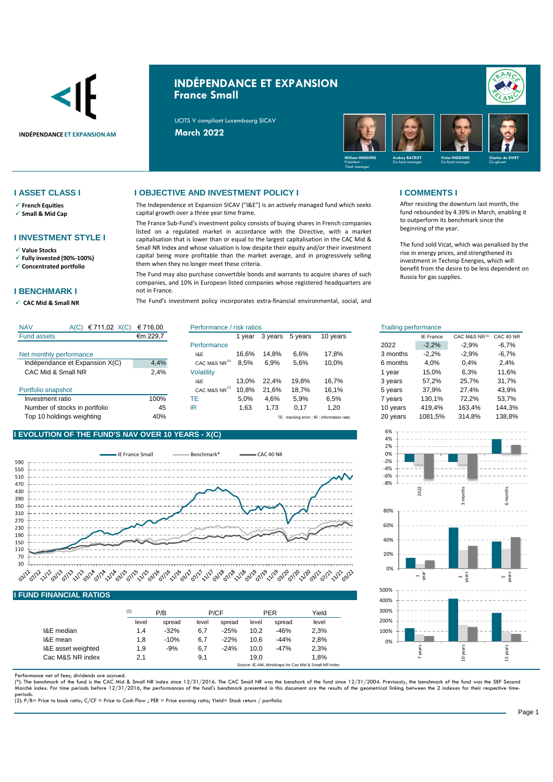

# **INDÉPENDANCE ET EXPANSION France Small**

UCITS V compliant Luxembourg SICAV



- ✓ **French Equities**
- ✓ **Small & Mid Cap**

### **I INVESTMENT STYLE I**

✓ **Value Stocks**

✓ **Fully invested (90%-100%)** ✓ **Concentrated portfolio**

### **I BENCHMARK I**

✓ **CAC Mid & Small NR** 

### **I ASSET CLASS I I OBJECTIVE AND INVESTMENT POLICY I I COMMENTS I**

The Independence et Expansion SICAV ("I&E") is an actively managed fund which seeks capital growth over a three year time frame.

The France Sub-Fund's investment policy consists of buying shares in French companies listed on a regulated market in accordance with the Directive, with a market capitalisation that is lower than or equal to the largest capitalisation in the CAC Mid & Small NR Index and whose valuation is low despite their equity and/or their investment capital being more profitable than the market average, and in progressively selling them when they no longer meet these criteria.

The Fund may also purchase convertible bonds and warrants to acquire shares of such companies, and 10% in European listed companies whose registered headquarters are not in France.

The Fund's investment policy incorporates extra-financial environmental, social, and

After resisting the downturn last month, the fund rebounded by 4.39% in March, enabling it to outperform its benchmark since the beginning of the year.

The fund sold Vicat, which was penalised by the rise in energy prices, and strengthened its investment in Technip Energies, which will benefit from the desire to be less dependent on Russia for gas supplies.

| <b>NAV</b><br>€ 711,02 $X(C)$<br>A(C) | € 716.00 | Performance / risk ratios |       |         |         |                                             | <b>Trailing performance</b> |                  |               |           |
|---------------------------------------|----------|---------------------------|-------|---------|---------|---------------------------------------------|-----------------------------|------------------|---------------|-----------|
| <b>Fund assets</b>                    | €m 229,7 |                           | vear  | 3 years | 5 years | 10 years                                    |                             | <b>IE France</b> | CAC M&S NR(1) | CAC 40 NR |
|                                       |          | Performance               |       |         |         |                                             | 2022                        | $-2.2%$          | $-2.9%$       | $-6.7%$   |
| Net monthly performance               |          | 1&E                       | 16.6% | 14.8%   | 6.6%    | 17.8%                                       | 3 months                    | $-2,2%$          | $-2,9%$       | $-6,7%$   |
| Indépendance et Expansion X(C)        | 4,4%     | CAC M&S NR <sup>14</sup>  | 8.5%  | 6.9%    | 5.6%    | 10.0%                                       | 6 months                    | 4.0%             | 0.4%          | 2.4%      |
| CAC Mid & Small NR                    | 2,4%     | Volatility                |       |         |         |                                             | vear                        | 15.0%            | 6.3%          | 11.6%     |
|                                       |          | 1&E                       | 13.0% | 22.4%   | 19.8%   | 16.7%                                       | 3 years                     | 57,2%            | 25.7%         | 31,7%     |
| Portfolio snapshot                    |          | CAC M&S NR <sup>(1)</sup> | 10.8% | 21.6%   | 18.7%   | 16.1%                                       | 5 years                     | 37.9%            | 27.4%         | 43,9%     |
| Investment ratio                      | 100%     | TE.                       | 5.0%  | 4,6%    | 5.9%    | 6,5%                                        | 7 years                     | 130.1%           | 72.2%         | 53,7%     |
| Number of stocks in portfolio         | 45       | IR                        | 1,63  | 1,73    | 0.17    | .20                                         | 10 years                    | 419.4%           | 163.4%        | 144,3%    |
| Top 10 holdings weighting             | 40%      |                           |       |         |         | TE: tracking error ; IR : information ratio | 20 years                    | 1081.5%          | 314.8%        | 138,8%    |

## **I EVOLUTION OF THE FUND'S NAV OVER 10 YEARS - X(C)**



### **I FUND FINANCIAL RATIOS**

|                    | (2)   | P/B    |       | P/CF   |       | <b>PER</b> | Yield |
|--------------------|-------|--------|-------|--------|-------|------------|-------|
|                    | level | spread | level | spread | level | spread     | level |
| I&E median         | 1.4   | $-32%$ | 6,7   | $-25%$ | 10.2  | $-46%$     | 2,3%  |
| I&E mean           | 1,8   | $-10%$ | 6,7   | $-22%$ | 10.6  | $-44%$     | 2,8%  |
| I&E asset weighted | 1,9   | $-9%$  | 6,7   | $-24%$ | 10.0  | $-47%$     | 2,3%  |
| Cac M&S NR index   | 2,1   |        | 9,1   |        | 19.0  |            | 1.8%  |

Performance net of fees; dividends are accrued.

(\*): The benchmark of the fund is the CAC Mid & Small NR index since 12/31/2016. The CAC Small NR was the benchark of the fund since 12/31/2004. Previously, the benchmark of the fund was the SBF Seconc<br>Marché index. For ti

periods. (2): P/B= Price to book ratio; C/CF = Price to Cash Flow ; PER = Price earning ratio; Yield= Stock return / portfolio

| isk ratios |         |         |          | <b>Trailing performance</b> |                  |               |                                                   |
|------------|---------|---------|----------|-----------------------------|------------------|---------------|---------------------------------------------------|
| 1 year     | 3 years | 5 years | 10 years |                             | <b>IE France</b> | CAC M&S NR(1) | CAC 40 NR                                         |
|            |         |         |          | 2022                        | $-2,2%$          | $-2.9%$       | $-6.7\%$                                          |
| 16,6%      | 14,8%   | 6,6%    | 17,8%    | 3 months                    | $-2,2%$          | $-2.9%$       | $-6,7%$                                           |
| 8,5%       | 6.9%    | 5,6%    | 10,0%    | 6 months                    | 4.0%             | 0.4%          | 2.4%                                              |
|            |         |         |          | 1 year                      | 15.0%            | 6.3%          | 11,6%                                             |
| 13,0%      | 22.4%   | 19,8%   | 16,7%    | 3 years                     | 57,2%            | 25,7%         | 31,7%                                             |
| 10,8%      | 21,6%   | 18,7%   | 16,1%    | 5 years                     | 37.9%            | 27.4%         | 43.9%                                             |
| 5,0%       | 4,6%    | 5,9%    | 6,5%     | 7 years                     | 130.1%           | 72.2%         | 53,7%                                             |
| 1,63       | 1,73    | 0.17    | 1,20     | 10 years                    | 419.4%           | 163,4%        | 144.3%                                            |
|            |         |         |          | $\sim$ $\sim$ $\sim$        | $\cdots$         | .             | $\lambda$ $\lambda$ $\lambda$ $\lambda$ $\lambda$ |